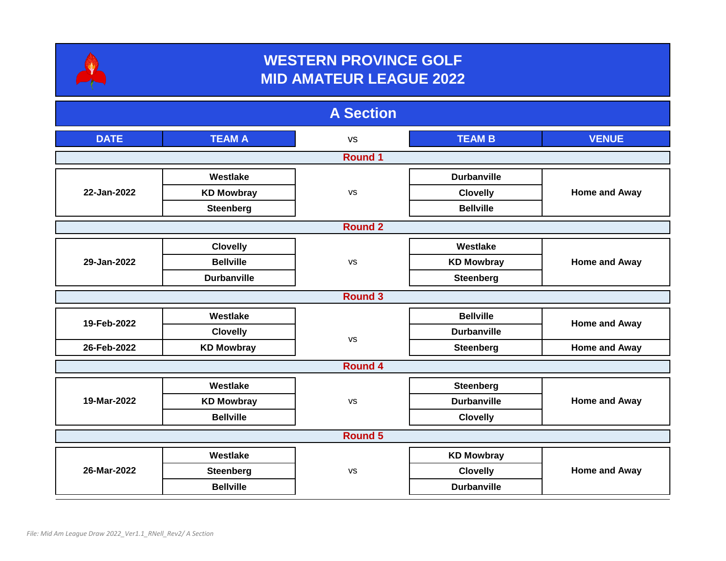

## **WESTERN PROVINCE GOLF MID AMATEUR LEAGUE 2022**

| <b>A</b> Section |                    |           |                    |                      |  |  |  |
|------------------|--------------------|-----------|--------------------|----------------------|--|--|--|
| <b>DATE</b>      | <b>TEAM A</b>      | <b>VS</b> | <b>TEAM B</b>      | <b>VENUE</b>         |  |  |  |
| <b>Round 1</b>   |                    |           |                    |                      |  |  |  |
| 22-Jan-2022      | Westlake           | <b>VS</b> | <b>Durbanville</b> | <b>Home and Away</b> |  |  |  |
|                  | <b>KD Mowbray</b>  |           | <b>Clovelly</b>    |                      |  |  |  |
|                  | <b>Steenberg</b>   |           | <b>Bellville</b>   |                      |  |  |  |
| <b>Round 2</b>   |                    |           |                    |                      |  |  |  |
| 29-Jan-2022      | <b>Clovelly</b>    | <b>VS</b> | Westlake           | <b>Home and Away</b> |  |  |  |
|                  | <b>Bellville</b>   |           | <b>KD Mowbray</b>  |                      |  |  |  |
|                  | <b>Durbanville</b> |           | <b>Steenberg</b>   |                      |  |  |  |
| <b>Round 3</b>   |                    |           |                    |                      |  |  |  |
| 19-Feb-2022      | Westlake           | <b>VS</b> | <b>Bellville</b>   | Home and Away        |  |  |  |
|                  | <b>Clovelly</b>    |           | <b>Durbanville</b> |                      |  |  |  |
| 26-Feb-2022      | <b>KD Mowbray</b>  |           | <b>Steenberg</b>   | <b>Home and Away</b> |  |  |  |
| <b>Round 4</b>   |                    |           |                    |                      |  |  |  |
| 19-Mar-2022      | Westlake           | <b>VS</b> | <b>Steenberg</b>   | <b>Home and Away</b> |  |  |  |
|                  | <b>KD Mowbray</b>  |           | <b>Durbanville</b> |                      |  |  |  |
|                  | <b>Bellville</b>   |           | <b>Clovelly</b>    |                      |  |  |  |
| <b>Round 5</b>   |                    |           |                    |                      |  |  |  |
| 26-Mar-2022      | Westlake           | <b>VS</b> | <b>KD Mowbray</b>  | <b>Home and Away</b> |  |  |  |
|                  | <b>Steenberg</b>   |           | <b>Clovelly</b>    |                      |  |  |  |
|                  | <b>Bellville</b>   |           | <b>Durbanville</b> |                      |  |  |  |